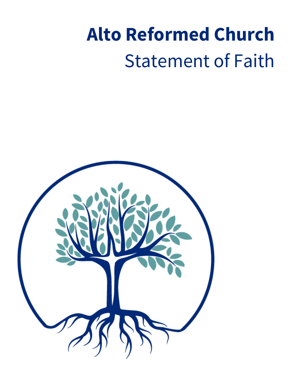# **Alto Reformed Church** Statement of Faith

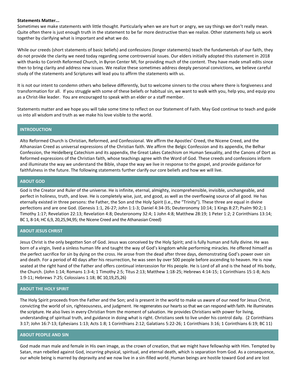#### **Statements Matter...**

Sometimes we make statements with little thought. Particularly when we are hurt or angry, we say things we don't really mean. Quite often there is just enough truth in the statement to be far more destructive than we realize. Other statements help us work together by clarifying what is important and what we do.

While our creeds (short statements of basic beliefs) and confessions (longer statements) teach the fundamentals of our faith, they do not provide the clarity we need today regarding some controversial issues. Our elders initially adopted this statement in 2018 with thanks to Corinth Reformed Church, in Byron Center MI, for providing much of the content. They have made small edits since then to bring clarity and address new issues. We realize these sometimes address deeply personal convictions, we believe careful study of the statements and Scriptures will lead you to affirm the statements with us.

It is not our intent to condemn others who believe differently, but to welcome sinners to the cross where there is forgiveness and transformation for all. If you struggle with some of these beliefs or habitual sin, we want to walk with you, help you, and equip you as a Christ-like leader. You are encouraged to speak with an elder or a staff member.

Statements matter and we hope you will take some time to reflect on our Statement of Faith. May God continue to teach and guide us into all wisdom and truth as we make his love visible to the world.

# **INTRODUCTION**

Alto Reformed Church is Christian, Reformed, and Confessional. We affirm the Apostles' Creed, the Nicene Creed, and the Athanasian Creed as universal expressions of the Christian faith. We affirm the Belgic Confession and its appendix, the Belhar Confession, the Heidelberg Catechism and its appendix, the Great Lakes Catechism on Human Sexuality, and the Canons of Dort as Reformed expressions of the Christian faith, whose teachings agree with the Word of God. These creeds and confessions inform and illuminate the way we understand the Bible, shape the way we live in response to the gospel, and provide guidance for faithfulness in the future. The following statements further clarify our core beliefs and how we will live.

## **ABOUT GOD**

God is the Creator and Ruler of the universe. He is infinite, eternal, almighty, incomprehensible, invisible, unchangeable, and perfect in holiness, truth, and love. He is completely wise, just, and good, as well as the overflowing source of all good. He has eternally existed in three persons: the Father, the Son and the Holy Spirit (i.e., the "Trinity"). These three are equal in divine perfections and are one God. (Genesis 1:1, 26-27; John 1:1-3; Daniel 4:34-35; Deuteronomy 10:14; 1 Kings 8:27; Psalm 90:2; 1 Timothy 1:17; Revelation 22:13; Revelation 4:8; Deuteronomy 32:4; 1 John 4:8; Matthew 28:19; 1 Peter 1:2; 2 Corinthians 13:14; BC 1, 8-14; HC 6,9, 20,25,94,95; the Nicene Creed and the Athanasian Creed)

## **ABOUT JESUS CHRIST**

Jesus Christ is the only begotten Son of God. Jesus was conceived by the Holy Spirit; and is fully human and fully divine. He was born of a virgin, lived a sinless human life and taught the way of God's kingdom while performing miracles. He offered himself as the perfect sacrifice for sin by dying on the cross. He arose from the dead after three days, demonstrating God's power over sin and death. For a period of 40 days after his resurrection, he was seen by over 500 people before ascending to heaven. He is now seated at the right hand of the Father and offers continual intercession for His people. He is Lord of all and is the head of His body, the Church. (John 1:14; Romans 1:3-4; 1 Timothy 2:5; Titus 2:13; Matthew 1:18-25; Hebrews 4:14-15; 1 Corinthians 15:1-8; Acts 1:9-11; Hebrews 7:25; Colossians 1:18; BC 10,19,25,26)

## **ABOUT THE HOLY SPIRIT**

The Holy Spirit proceeds from the Father and the Son; and is present in the world to make us aware of our need for Jesus Christ, convicting the world of sin, righteousness, and judgment. He regenerates our hearts so that we can respond with faith. He illuminates the scripture. He also lives in every Christian from the moment of salvation. He provides Christians with power for living, understanding of spiritual truth, and guidance in doing what is right. Christians seek to live under his control daily. (2 Corinthians 3:17; John 16:7-13; Ephesians 1:13; Acts 1:8; 1 Corinthians 2:12; Galatians 5:22-26; 1 Corinthians 3:16; 1 Corinthians 6:19; BC 11)

# **ABOUT PEOPLE AND SIN**

God made man male and female in His own image, as the crown of creation, that we might have fellowship with Him. Tempted by Satan, man rebelled against God, incurring physical, spiritual, and eternal death, which is separation from God. As a consequence, our whole being is marred by depravity and we now live in a sin-filled world. Human beings are hostile toward God and are lost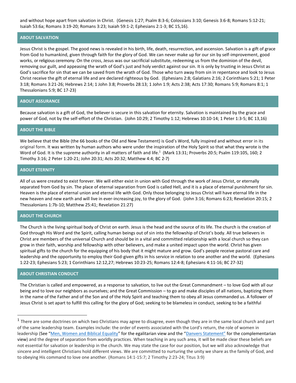and without hope apart from salvation in Christ. (Genesis 1:27; Psalm 8:3-6; Colossians 3:10; Genesis 3:6-8; Romans 5:12-21; Isaiah 53:6a; Romans 3:19-20; Romans 3:23; Isaiah 59:1-2; Ephesians 2:1-3; BC 15,16).

# **ABOUT SALVATION**

Jesus Christ is the gospel. The good news is revealed in his birth, life, death, resurrection, and ascension. Salvation is a gift of grace from God to humankind, given through faith for the glory of God. We can never make up for our sin by self-improvement, good works, or religious ceremony. On the cross, Jesus was our sacrificial substitute, redeeming us from the dominion of the devil, removing our guilt, and appeasing the wrath of God's just and holy verdict against our sin. It is only by trusting in Jesus Christ as God's sacrifice for sin that we can be saved from the wrath of God. Those who turn away from sin in repentance and look to Jesus Christ receive the gift of eternal life and are declared righteous by God. (Ephesians 2:8; Galatians 2:16; 2 Corinthians 5:21; 1 Peter 3:18; Romans 3:21-26; Hebrews 2:14; 1 John 3:8; Proverbs 28:13; 1 John 1:9; Acts 2:38; Acts 17:30; Romans 5:9; Romans 8:1; 1 Thessalonians 5:9; BC 17-23)

# **ABOUT ASSURANCE**

Because salvation is a gift of God, the believer is secure in this salvation for eternity. Salvation is maintained by the grace and power of God, not by the self-effort of the Christian. (John 10:29; 2 Timothy 1:12; Hebrews 10:10-14; 1 Peter 1:3-5; BC 13,16)

## **ABOUT THE BIBLE**

We believe that the Bible (the 66 books of the Old and New Testament) is God's Word, fully inspired and without error in its original form. It was written by human authors who were under the inspiration of the Holy Spirit so that what they wrote is the Word of God. It is the supreme authority in all matters of faith and life.<sup>1</sup> (Mark 13:31; Proverbs 20:5; Psalm 119:105, 160; 2 Timothy 3:16; 2 Peter 1:20-21; John 20:31; Acts 20:32; Matthew 4:4; BC 2-7)

## **ABOUT ETERNITY**

All of us were created to exist forever. We will either exist in union with God through the work of Jesus Christ, or eternally separated from God by sin. The place of eternal separation from God is called Hell, and it is a place of eternal punishment for sin. Heaven is the place of eternal union and eternal life with God. Only those belonging to Jesus Christ will have eternal life in the new heaven and new earth and will live in ever-increasing joy, to the glory of God. (John 3:16; Romans 6:23; Revelation 20:15; 2 Thessalonians 1:7b-10; Matthew 25:41; Revelation 21:27)

# **ABOUT THE CHURCH**

The Church is the living spiritual body of Christ on earth. Jesus is the head and the source of its life. The church is the creation of God through His Word and the Spirit, calling human beings out of sin into the fellowship of Christ's body. All true believers in Christ are members of the universal Church and should be in a vital and committed relationship with a local church so they can grow in their faith, worship and fellowship with other believers, and make a united impact upon the world. Christ has given spiritual gifts to the church for the equipping of his body that it might mature and grow. God's people receive pastoral care and leadership and the opportunity to employ their God-given gifts in his service in relation to one another and the world. (Ephesians 1:22-23; Ephesians 5:23; 1 Corinthians 12:12,27; Hebrews 10:23-25; Romans 12:4-8; Ephesians 4:11-16; BC 27-32)

## **ABOUT CHRISTIAN CONDUCT**

The Christian is called and empowered, as a response to salvation, to live out the Great Commandment – to love God with all our being and to love our neighbors as ourselves; and the Great Commission – to go and make disciples of all nations, baptizing them in the name of the Father and of the Son and of the Holy Spirit and teaching them to obey all Jesus commanded us. A follower of Jesus Christ is set apart to fulfill this calling for the glory of God; seeking to be blameless in conduct, seeking to be a faithful

<sup>&</sup>lt;sup>1</sup> There are some doctrines on which two Christians may agree to disagree, even though they are in the same local church and part of the same leadership team. Examples include: the order of events associated with the Lord's return, the role of women in leadership (See "[Men, Women and Biblical Equality](https://www.cbeinternational.org/sites/default/files/english_0.pdf)" for the egalitarian view and the ["Danvers Statement"](https://cbmw.org/uncategorized/the-danvers-statement/) for the complementarian view) and the degree of separation from worldly practices. When teaching in any such area, it will be made clear these beliefs are not essential for salvation or leadership in the church. We may state the case for our position, but we will also acknowledge that sincere and intelligent Christians hold different views. We are committed to nurturing the unity we share as the family of God, and to obeying His command to love one another. (Romans 14:1-15:7; 2 Timothy 2:23-24; Titus 3:9)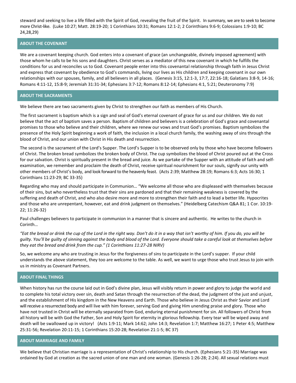steward and seeking to live a life filled with the Spirit of God, revealing the fruit of the Spirit. In summary, we are to seek to become more Christ-like. (Luke 10:27; Matt. 28:19-20; 1 Corinthians 10:31; Romans 12:1-2; 2 Corinthians 9:6-9; Colossians 1:9-10; BC 24,28,29)

## **ABOUT THE COVENANT**

We are a covenant keeping church. God enters into a covenant of grace (an unchangeable, divinely imposed agreement) with those whom he calls to be his sons and daughters. Christ serves as a mediator of this new covenant in which he fulfills the conditions for us and reconciles us to God. Covenant people enter into this covenantal relationship through faith in Jesus Christ and express that covenant by obedience to God's commands, living our lives as His children and keeping covenant in our own relationships with our spouses, family, and all believers in all places. (Genesis 3:15, 12:1-3, 17:7, 22:16-18; Galatians 3:8-9, 14-16; Romans 4:11-12, 15:8-9; Jeremiah 31:31-34; Ephesians 3:7-12; Romans 8:12-14; Ephesians 4:1, 5:21; Deuteronomy 7:9)

#### **ABOUT THE SACRAMENTS**

We believe there are two sacraments given by Christ to strengthen our faith as members of His Church.

The first sacrament is baptism which is a sign and seal of God's eternal covenant of grace for us and our children. We do not believe that the act of baptism saves a person. Baptism of children and believers is a celebration of God's grace and covenantal promises to those who believe and their children, where we renew our vows and trust God's promises. Baptism symbolizes the presence of the Holy Spirit beginning a work of faith, the inclusion in a local church family, the washing away of sins through the blood of Christ, and our union with Christ in His death and resurrection.

The second is the sacrament of the Lord's Supper. The Lord's Supper is to be observed only by those who have become followers of Christ. The broken bread symbolizes the broken body of Christ. The cup symbolizes the blood of Christ poured out at the Cross for our salvation. Christ is spiritually present in the bread and juice. As we partake of the Supper with an attitude of faith and selfexamination, we remember and proclaim the death of Christ, receive spiritual nourishment for our souls, signify our unity with other members of Christ's body, and look forward to the heavenly feast. (Acts 2:39; Matthew 28:19; Romans 6:3; Acts 16:30; 1 Corinthians 11:23-29; BC 33-35)

Regarding who may and should participate in Communion… "We welcome all those who are displeased with themselves because of their sins, but who nevertheless trust that their sins are pardoned and that their remaining weakness is covered by the suffering and death of Christ, and who also desire more and more to strengthen their faith and to lead a better life. Hypocrites and those who are unrepentant, however, eat and drink judgment on themselves." (Heidelberg Catechism Q&A 81; 1 Cor. 10:19- 22; 11:26-32)

Paul challenges believers to participate in communion in a manner that is sincere and authentic. He writes to the church in Corinth…

"Eat the bread or drink the cup of the Lord in the right way. Don't do it in a way that isn't worthy of him. If you do, you will be *guilty. You'll be guilty of sinning against the body and blood of the Lord. Everyone should take a careful look at themselves before they eat the bread and drink from the cup." (1 Corinthians 11:27-28 NIRV)*

So, we welcome any who are trusting in Jesus for the forgiveness of sins to participate in the Lord's supper. If your child understands the above statement, they too are welcome to the table. As well, we want to urge those who trust Jesus to join with us in ministry as Covenant Partners.

## **ABOUT FINAL THINGS**

When history has run the course laid out in God's divine plan, Jesus will visibly return in power and glory to judge the world and to complete his total victory over sin, death and Satan through the resurrection of the dead, the judgment of the just and unjust, and the establishment of His kingdom in the New Heavens and Earth. Those who believe in Jesus Christ as their Savior and Lord will receive a resurrected body and will live with him forever, serving God and giving Him unending praise and glory. Those who have not trusted in Christ will be eternally separated from God, enduring eternal punishment for sin. All followers of Christ from all history will be with God the Father, Son and Holy Spirit for eternity in glorious fellowship. Every tear will be wiped away and death will be swallowed up in victory! (Acts 1:9-11; Mark 14:62; John 14:3; Revelation 1:7; Matthew 16:27; 1 Peter 4:5; Matthew 25:31-56; Revelation 20:11-15; 1 Corinthians 15:20-28; Revelation 21:1-5; BC 37)

# **ABOUT MARRIAGE AND FAMILY**

We believe that Christian marriage is a representation of Christ's relationship to His church. (Ephesians 5:21-35) Marriage was ordained by God at creation as the sacred union of one man and one woman. (Genesis 1:26-28; 2:24). All sexual relations must